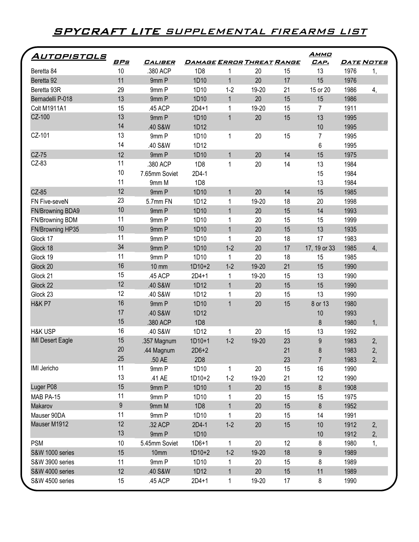## **SPYCRAFT LITE** SUPPLEMENTAL FIREARMS LIST

| <u>Autopistols</u>          |            |                |                                  |                   |       |    | <u>Аммо</u>    |      |                |
|-----------------------------|------------|----------------|----------------------------------|-------------------|-------|----|----------------|------|----------------|
|                             | <u>BPs</u> | <b>CALIBER</b> | <u>DAMAGE ERROR THREAT RANGE</u> |                   |       |    | CAP.           |      | DATE NOTES     |
| Beretta 84                  | 10         | .380 ACP       | 1D <sub>8</sub>                  |                   | 20    | 15 | 13             | 1976 | 1,             |
| Beretta 92                  | 11         | 9mm P          | 1D10                             | $\mathbf{1}$      | 20    | 17 | 15             | 1976 |                |
| Beretta 93R                 | 29         | 9mm P          | 1D10                             | $1 - 2$           | 19-20 | 21 | 15 or 20       | 1986 | 4,             |
| Bernadelli P-018            | 13         | 9mm P          | 1D10                             | $\mathbf{1}$      | 20    | 15 | 15             | 1986 |                |
| Colt M1911A1                | 15         | .45 ACP        | $2D4+1$                          | $\mathbf 1$       | 19-20 | 15 | $\overline{7}$ | 1911 |                |
| CZ-100                      | 13         | 9mm P          | 1D10                             | $\mathbf{1}$      | 20    | 15 | 13             | 1995 |                |
|                             | 14         | .40 S&W        | 1D12                             |                   |       |    | 10             | 1995 |                |
| CZ-101                      | 13         | 9mm P          | 1D10                             | $\mathbf{1}$      | 20    | 15 | 7              | 1995 |                |
|                             | 14         | .40 S&W        | 1D12                             |                   |       |    | 6              | 1995 |                |
| CZ-75                       | 12         | 9mm P          | 1D10                             | $\mathbf{1}$      | 20    | 14 | 15             | 1975 |                |
| CZ-83                       | 11         | .380 ACP       | 1D <sub>8</sub>                  | $\mathbf 1$       | 20    | 14 | 13             | 1984 |                |
|                             | 10         | 7.65mm Soviet  | 2D4-1                            |                   |       |    | 15             | 1984 |                |
|                             | 11         | 9mm M          | 1D <sub>8</sub>                  |                   |       |    | 13             | 1984 |                |
| CZ-85                       | 12         | 9mm P          | 1D10                             | $\mathbf{1}$      | 20    | 14 | 15             | 1985 |                |
| FN Five-seveN               | 23         | 5.7mm FN       | 1D12                             | 1                 | 19-20 | 18 | 20             | 1998 |                |
| FN/Browning BDA9            | 10         | 9mm P          | 1D10                             | $\mathbf{1}$      | 20    | 15 | 14             | 1993 |                |
| FN/Browning BDM             | 11         | 9mm P          | 1D10                             | 1                 | 20    | 15 | 15             | 1999 |                |
| FN/Browning HP35            | 10         | 9mm P          | 1D10                             | $\mathbf{1}$      | 20    | 15 | 13             | 1935 |                |
| Glock 17                    | 11         | 9mm P          | 1D10                             | $\mathbf{1}$      | 20    | 18 | 17             | 1983 |                |
| Glock 18                    | 34         | 9mm P          | 1D10                             | $1 - 2$           | 20    | 17 | 17, 19 or 33   | 1985 | $\overline{4}$ |
| Glock 19                    | 11         | 9mm P          | 1D10                             | 1                 | 20    | 18 | 15             | 1985 |                |
| Glock 20                    | 16         | <b>10 mm</b>   | $1D10+2$                         | $1-2$             | 19-20 | 21 | 15             | 1990 |                |
| Glock 21                    | 15         | .45 ACP        | $2D4+1$                          | $\mathbf 1$       | 19-20 | 15 | 13             | 1990 |                |
| Glock 22                    | 12         | .40 S&W        | 1D12                             | $\mathbf{1}$      | 20    | 15 | 15             | 1990 |                |
| Glock 23                    | 12         | .40 S&W        | 1D12                             | 1                 | 20    | 15 | 13             | 1990 |                |
| <b>H&amp;K P7</b>           | 16         | 9mm P          | 1D10                             | $\mathbf{1}$      | 20    | 15 | 8 or 13        | 1980 |                |
|                             | 17         | .40 S&W        | 1D12                             |                   |       |    | 10             | 1993 |                |
|                             | 15         | .380 ACP       | 1D <sub>8</sub>                  |                   |       |    | 8              | 1980 | 1,             |
| <b>H&amp;K USP</b>          | 16         | .40 S&W        | 1D12                             | 1                 | 20    | 15 | 13             | 1992 |                |
| <b>IMI Desert Eagle</b>     | 15         | .357 Magnum    | $1D10+1$                         | $1-2$             | 19-20 | 23 | $\overline{9}$ | 1983 | 2,             |
|                             | 20         | .44 Magnum     | $2D6+2$                          |                   |       | 21 | 8              | 1983 | 2,             |
|                             | 25         | .50 AE         | 2D <sub>8</sub>                  |                   |       | 23 | $\overline{7}$ | 1983 | 2,             |
| IMI Jericho                 | 11         | 9mm P          | 1D10                             | 1                 | 20    | 15 | 16             | 1990 |                |
|                             | 13         | .41 AE         | $1D10+2$                         | $1-2$             | 19-20 | 21 | 12             | 1990 |                |
| Luger P08                   | 15         | 9mm P          | 1D10                             | $\mathbf{1}$      | 20    | 15 | 8              | 1908 |                |
| MAB PA-15                   | 11         | 9mm P          | 1D10                             |                   | 20    | 15 |                | 1975 |                |
| Makarov                     | 9          | 9mm M          | 1D <sub>8</sub>                  | 1<br>$\mathbf{1}$ | 20    | 15 | 15<br>8        | 1952 |                |
|                             | 11         |                |                                  |                   |       |    |                |      |                |
| Mauser 90DA<br>Mauser M1912 | 12         | 9mm P          | 1D10                             | $\mathbf 1$       | 20    | 15 | 14             | 1991 |                |
|                             | 13         | .32 ACP        | 2D4-1                            | $1 - 2$           | 20    | 15 | 10             | 1912 | 2,             |
|                             |            | 9mm P          | 1D10                             |                   |       |    | 10             | 1912 | 2,             |
| <b>PSM</b>                  | 10         | 5.45mm Soviet  | $1D6 + 1$                        | $\mathbf{1}$      | 20    | 12 | 8              | 1980 | 1,             |
| S&W 1000 series             | 15         | 10mm           | $1D10+2$                         | $1-2$             | 19-20 | 18 | 9              | 1989 |                |
| S&W 3900 series             | 11         | 9mm P          | 1D10                             | 1                 | 20    | 15 | 8              | 1989 |                |
| S&W 4000 series             | 12         | .40 S&W        | 1D12                             | $\mathbf 1$       | 20    | 15 | 11             | 1989 |                |
| S&W 4500 series             | 15         | .45 ACP        | $2D4 + 1$                        | $\mathbf{1}$      | 19-20 | 17 | 8              | 1990 |                |